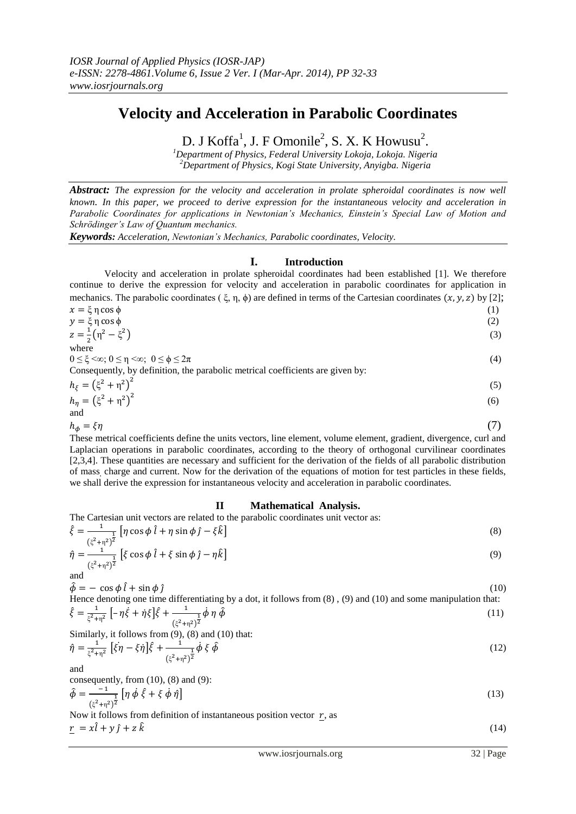# **Velocity and Acceleration in Parabolic Coordinates**

D. J Koffa<sup>1</sup>, J. F Omonile<sup>2</sup>, S. X. K Howusu<sup>2</sup>.

*<sup>1</sup>Department of Physics, Federal University Lokoja, Lokoja. Nigeria <sup>2</sup>Department of Physics, Kogi State University, Anyigba. Nigeria*

*Abstract: The expression for the velocity and acceleration in prolate spheroidal coordinates is now well known. In this paper, we proceed to derive expression for the instantaneous velocity and acceleration in Parabolic Coordinates for applications in Newtonian's Mechanics, Einstein's Special Law of Motion and Schrödinger's Law of Quantum mechanics.*

*Keywords: Acceleration, Newtonian's Mechanics, Parabolic coordinates, Velocity.*

## **I. Introduction**

Velocity and acceleration in prolate spheroidal coordinates had been established [1]. We therefore continue to derive the expression for velocity and acceleration in parabolic coordinates for application in mechanics. The parabolic coordinates ( $\xi$ ,  $\eta$ ,  $\phi$ ) are defined in terms of the Cartesian coordinates  $(x, y, z)$  by [2];

$$
x = \xi \eta \cos \phi
$$
\n
$$
y = \xi \eta \cos \phi
$$
\n
$$
z = \frac{1}{2} \left( \eta^2 - \xi^2 \right)
$$
\nwhere\n
$$
0 \le \xi \le \infty; 0 \le \eta \le \infty; 0 \le \phi \le 2\pi
$$
\nConsequently, by definition, the parabolic metrical coefficients are given by:\n
$$
h_{\xi} = \left( \xi^2 + \eta^2 \right)^2
$$
\n
$$
h_{\eta} = \left( \xi^2 + \eta^2 \right)^2
$$
\n
$$
h_{\eta} = \left( \xi^2 + \eta^2 \right)^2
$$
\n
$$
h_{\phi} = \xi \eta
$$
\n(7)

These metrical coefficients define the units vectors, line element, volume element, gradient, divergence, curl and Laplacian operations in parabolic coordinates, according to the theory of orthogonal curvilinear coordinates [2,3,4]. These quantities are necessary and sufficient for the derivation of the fields of all parabolic distribution of mass, charge and current. Now for the derivation of the equations of motion for test particles in these fields, we shall derive the expression for instantaneous velocity and acceleration in parabolic coordinates.

#### **II Mathematical Analysis.**

The Cartesian unit vectors are related to the parabolic coordinates unit vector as:

$$
\hat{\xi} = \frac{1}{(\xi^2 + \eta^2)^{\frac{1}{2}}} \left[ \eta \cos \phi \hat{l} + \eta \sin \phi \hat{j} - \xi \hat{k} \right]
$$
\n
$$
\hat{\eta} = \frac{1}{(\xi^2 + \eta^2)^{\frac{1}{2}}} \left[ \xi \cos \phi \hat{l} + \xi \sin \phi \hat{j} - \eta \hat{k} \right]
$$
\n(9)

and 
$$
\int_{1}^{\frac{1}{2}} \left[ \int_{0}^{\frac{1}{2}} \cos \varphi t + \int_{0}^{\frac{1}{2}} \sin \varphi t \right] d\mu
$$

$$
\hat{\phi} = -\cos\phi \,\hat{l} + \sin\phi \,\hat{j} \tag{10}
$$

Hence denoting one time differentiating by a dot, it follows from (8) , (9) and (10) and some manipulation that:  $\hat{\xi} = \frac{1}{\xi^2}$  $\frac{1}{(n^2+\eta^2)}\left[-\eta\dot{\xi}+\eta\xi\right]\hat{\xi}+\frac{1}{(n^2-\eta)^{\frac{1}{2}}}$  $\dot{\phi} \eta \hat{\phi}$  (11)

ξ (ξ η ) Similarly, it follows from (9), (8) and (10) that:

$$
\hat{\eta} = \frac{1}{\xi^2 + \eta^2} \left[ \xi \eta - \xi \eta \right] \hat{\xi} + \frac{1}{(\xi^2 + \eta^2)^2} \dot{\phi} \xi \hat{\phi}
$$
\n(12)

and

consequently, from  $(10)$ ,  $(8)$  and  $(9)$ :  $\overline{\phantom{0}}$ 

$$
\hat{\phi} = \frac{-1}{(\xi^2 + \eta^2)^2} \left[ \eta \, \dot{\phi} \, \dot{\xi} + \xi \, \dot{\phi} \, \dot{\eta} \right]
$$
\n(13)

Now it follows from definition of instantaneous position vector  $r$ , as  $r = x\hat{i} + y\hat{j} + z\hat{k}$  (14)